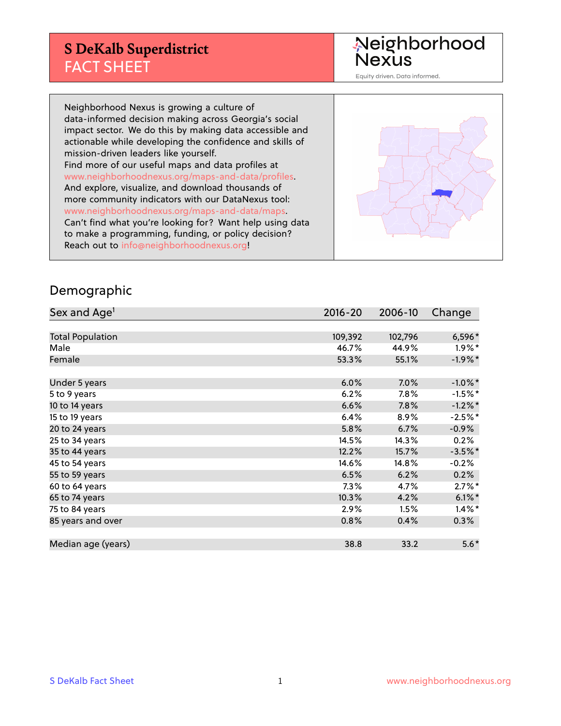## **S DeKalb Superdistrict** FACT SHEET

Neighborhood<br>Nexus

Equity driven. Data informed.

Neighborhood Nexus is growing a culture of data-informed decision making across Georgia's social impact sector. We do this by making data accessible and actionable while developing the confidence and skills of mission-driven leaders like yourself. Find more of our useful maps and data profiles at www.neighborhoodnexus.org/maps-and-data/profiles. And explore, visualize, and download thousands of more community indicators with our DataNexus tool: www.neighborhoodnexus.org/maps-and-data/maps. Can't find what you're looking for? Want help using data to make a programming, funding, or policy decision? Reach out to [info@neighborhoodnexus.org!](mailto:info@neighborhoodnexus.org)



### Demographic

| Sex and Age <sup>1</sup> | $2016 - 20$ | 2006-10 | Change     |
|--------------------------|-------------|---------|------------|
|                          |             |         |            |
| <b>Total Population</b>  | 109,392     | 102,796 | 6,596*     |
| Male                     | 46.7%       | 44.9%   | $1.9\%$ *  |
| Female                   | 53.3%       | 55.1%   | $-1.9\%$ * |
|                          |             |         |            |
| Under 5 years            | 6.0%        | 7.0%    | $-1.0\%$ * |
| 5 to 9 years             | 6.2%        | 7.8%    | $-1.5%$ *  |
| 10 to 14 years           | 6.6%        | 7.8%    | $-1.2\%$ * |
| 15 to 19 years           | 6.4%        | 8.9%    | $-2.5%$ *  |
| 20 to 24 years           | 5.8%        | 6.7%    | $-0.9%$    |
| 25 to 34 years           | 14.5%       | 14.3%   | 0.2%       |
| 35 to 44 years           | 12.2%       | 15.7%   | $-3.5%$ *  |
| 45 to 54 years           | 14.6%       | 14.8%   | $-0.2%$    |
| 55 to 59 years           | 6.5%        | 6.2%    | 0.2%       |
| 60 to 64 years           | 7.3%        | 4.7%    | $2.7\%$ *  |
| 65 to 74 years           | 10.3%       | 4.2%    | $6.1\%$ *  |
| 75 to 84 years           | 2.9%        | 1.5%    | $1.4\%$ *  |
| 85 years and over        | 0.8%        | 0.4%    | $0.3\%$    |
|                          |             |         |            |
| Median age (years)       | 38.8        | 33.2    | $5.6*$     |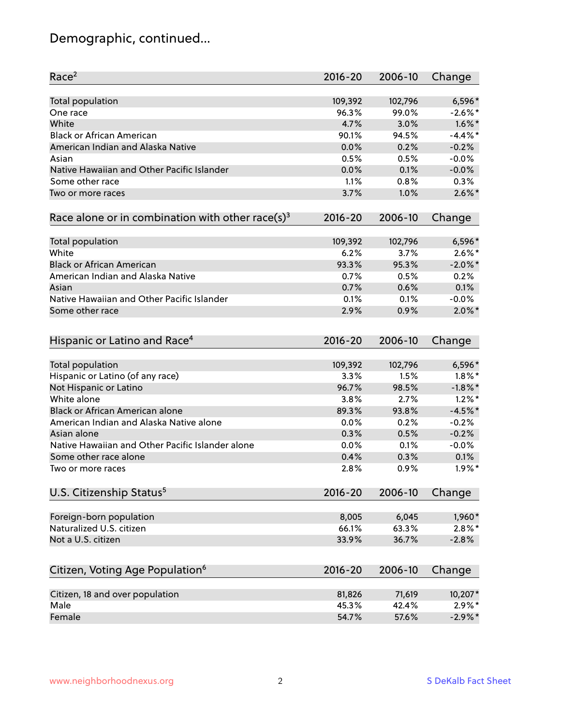# Demographic, continued...

| Race <sup>2</sup>                                            | $2016 - 20$ | 2006-10 | Change     |
|--------------------------------------------------------------|-------------|---------|------------|
| <b>Total population</b>                                      | 109,392     | 102,796 | $6,596*$   |
| One race                                                     | 96.3%       | 99.0%   | $-2.6\%$ * |
| White                                                        | 4.7%        | 3.0%    | $1.6\%$ *  |
| <b>Black or African American</b>                             | 90.1%       | 94.5%   | $-4.4\%$ * |
| American Indian and Alaska Native                            | 0.0%        | 0.2%    | $-0.2%$    |
| Asian                                                        | 0.5%        | 0.5%    | $-0.0%$    |
| Native Hawaiian and Other Pacific Islander                   | 0.0%        | 0.1%    | $-0.0%$    |
| Some other race                                              | 1.1%        | 0.8%    | 0.3%       |
| Two or more races                                            | 3.7%        | 1.0%    | $2.6\%$ *  |
| Race alone or in combination with other race(s) <sup>3</sup> | $2016 - 20$ | 2006-10 | Change     |
| Total population                                             | 109,392     | 102,796 | $6,596*$   |
| White                                                        | 6.2%        | 3.7%    | $2.6\%$ *  |
| <b>Black or African American</b>                             | 93.3%       | 95.3%   | $-2.0\%$ * |
| American Indian and Alaska Native                            | 0.7%        | 0.5%    | 0.2%       |
| Asian                                                        | 0.7%        | 0.6%    | 0.1%       |
| Native Hawaiian and Other Pacific Islander                   | 0.1%        | 0.1%    | $-0.0%$    |
| Some other race                                              | 2.9%        | 0.9%    | $2.0\%$ *  |
| Hispanic or Latino and Race <sup>4</sup>                     | $2016 - 20$ | 2006-10 | Change     |
| Total population                                             | 109,392     | 102,796 | 6,596*     |
| Hispanic or Latino (of any race)                             | 3.3%        | 1.5%    | $1.8\%$ *  |
| Not Hispanic or Latino                                       | 96.7%       | 98.5%   | $-1.8\%$ * |
| White alone                                                  | 3.8%        | 2.7%    | $1.2\%$ *  |
| <b>Black or African American alone</b>                       | 89.3%       | 93.8%   | $-4.5%$ *  |
| American Indian and Alaska Native alone                      | 0.0%        | 0.2%    | $-0.2%$    |
| Asian alone                                                  | 0.3%        | 0.5%    | $-0.2%$    |
| Native Hawaiian and Other Pacific Islander alone             | 0.0%        | 0.1%    | $-0.0%$    |
| Some other race alone                                        | 0.4%        | 0.3%    | 0.1%       |
| Two or more races                                            | 2.8%        | 0.9%    | $1.9\%$ *  |
| U.S. Citizenship Status <sup>5</sup>                         | $2016 - 20$ | 2006-10 | Change     |
| Foreign-born population                                      | 8,005       | 6,045   | 1,960*     |
| Naturalized U.S. citizen                                     | 66.1%       | 63.3%   | $2.8\%$ *  |
| Not a U.S. citizen                                           | 33.9%       | 36.7%   | $-2.8%$    |
|                                                              |             |         |            |
| Citizen, Voting Age Population <sup>6</sup>                  | $2016 - 20$ | 2006-10 | Change     |
| Citizen, 18 and over population                              | 81,826      | 71,619  | 10,207*    |
| Male                                                         | 45.3%       | 42.4%   | $2.9\%*$   |
| Female                                                       | 54.7%       | 57.6%   | $-2.9\%$ * |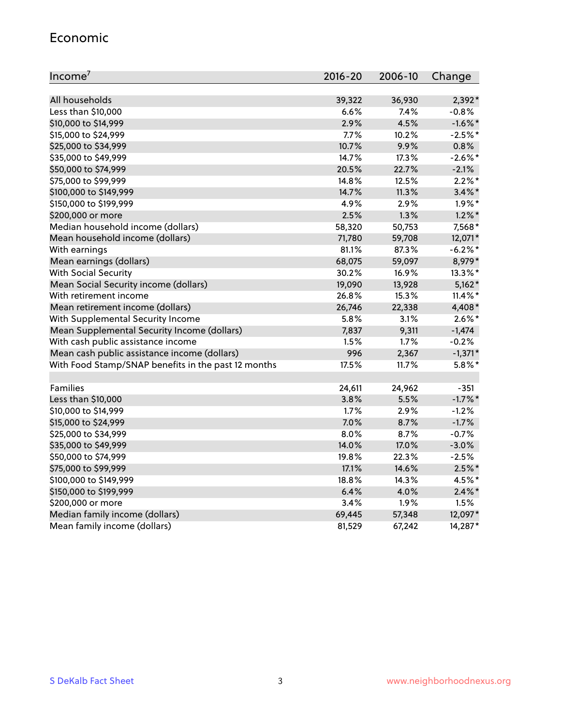#### Economic

| Income <sup>7</sup>                                 | $2016 - 20$ | 2006-10 | Change     |
|-----------------------------------------------------|-------------|---------|------------|
|                                                     |             |         |            |
| All households                                      | 39,322      | 36,930  | $2,392*$   |
| Less than \$10,000                                  | 6.6%        | 7.4%    | $-0.8%$    |
| \$10,000 to \$14,999                                | 2.9%        | 4.5%    | $-1.6\%$ * |
| \$15,000 to \$24,999                                | 7.7%        | 10.2%   | $-2.5%$ *  |
| \$25,000 to \$34,999                                | 10.7%       | 9.9%    | 0.8%       |
| \$35,000 to \$49,999                                | 14.7%       | 17.3%   | $-2.6\%$ * |
| \$50,000 to \$74,999                                | 20.5%       | 22.7%   | $-2.1%$    |
| \$75,000 to \$99,999                                | 14.8%       | 12.5%   | $2.2\%$ *  |
| \$100,000 to \$149,999                              | 14.7%       | 11.3%   | $3.4\%$ *  |
| \$150,000 to \$199,999                              | 4.9%        | 2.9%    | $1.9\%$ *  |
| \$200,000 or more                                   | 2.5%        | 1.3%    | $1.2\%$ *  |
| Median household income (dollars)                   | 58,320      | 50,753  | 7,568*     |
| Mean household income (dollars)                     | 71,780      | 59,708  | 12,071*    |
| With earnings                                       | 81.1%       | 87.3%   | $-6.2\%$ * |
| Mean earnings (dollars)                             | 68,075      | 59,097  | 8,979*     |
| <b>With Social Security</b>                         | 30.2%       | 16.9%   | 13.3%*     |
| Mean Social Security income (dollars)               | 19,090      | 13,928  | $5,162*$   |
| With retirement income                              | 26.8%       | 15.3%   | $11.4\%$ * |
| Mean retirement income (dollars)                    | 26,746      | 22,338  | 4,408*     |
| With Supplemental Security Income                   | 5.8%        | 3.1%    | $2.6\%$ *  |
| Mean Supplemental Security Income (dollars)         | 7,837       | 9,311   | $-1,474$   |
| With cash public assistance income                  | 1.5%        | 1.7%    | $-0.2%$    |
| Mean cash public assistance income (dollars)        | 996         | 2,367   | $-1,371*$  |
| With Food Stamp/SNAP benefits in the past 12 months | 17.5%       | 11.7%   | $5.8\%$ *  |
|                                                     |             |         |            |
| Families                                            | 24,611      | 24,962  | $-351$     |
| Less than \$10,000                                  | 3.8%        | 5.5%    | $-1.7\%$ * |
| \$10,000 to \$14,999                                | 1.7%        | 2.9%    | $-1.2%$    |
| \$15,000 to \$24,999                                | 7.0%        | 8.7%    | $-1.7%$    |
| \$25,000 to \$34,999                                | 8.0%        | 8.7%    | $-0.7%$    |
| \$35,000 to \$49,999                                | 14.0%       | 17.0%   | $-3.0%$    |
| \$50,000 to \$74,999                                | 19.8%       | 22.3%   | $-2.5%$    |
| \$75,000 to \$99,999                                | 17.1%       | 14.6%   | $2.5\%$ *  |
| \$100,000 to \$149,999                              | 18.8%       | 14.3%   | 4.5%*      |
| \$150,000 to \$199,999                              | 6.4%        | 4.0%    | $2.4\%$ *  |
| \$200,000 or more                                   | 3.4%        | 1.9%    | 1.5%       |
| Median family income (dollars)                      | 69,445      | 57,348  | 12,097*    |
| Mean family income (dollars)                        | 81,529      | 67,242  | 14,287*    |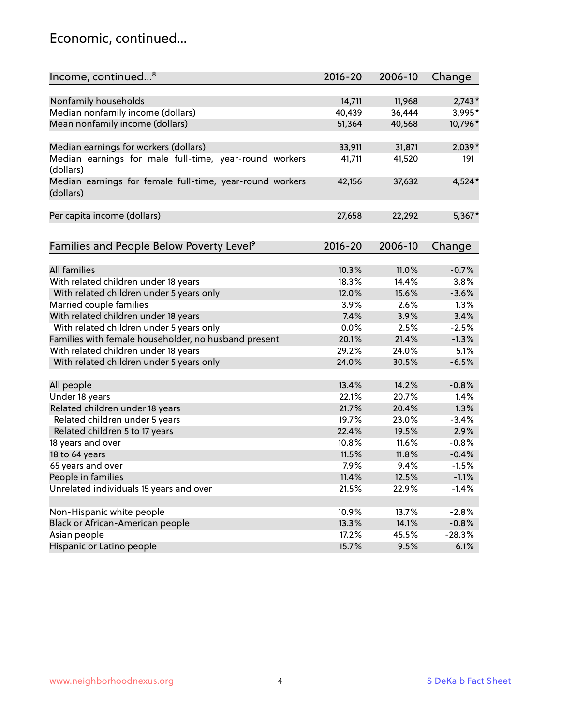### Economic, continued...

| Income, continued <sup>8</sup>                                        | $2016 - 20$ | 2006-10 | Change   |
|-----------------------------------------------------------------------|-------------|---------|----------|
|                                                                       |             |         |          |
| Nonfamily households                                                  | 14,711      | 11,968  | $2,743*$ |
| Median nonfamily income (dollars)                                     | 40,439      | 36,444  | 3,995*   |
| Mean nonfamily income (dollars)                                       | 51,364      | 40,568  | 10,796*  |
| Median earnings for workers (dollars)                                 | 33,911      | 31,871  | $2,039*$ |
| Median earnings for male full-time, year-round workers                | 41,711      | 41,520  | 191      |
| (dollars)                                                             |             |         |          |
| Median earnings for female full-time, year-round workers<br>(dollars) | 42,156      | 37,632  | 4,524*   |
| Per capita income (dollars)                                           | 27,658      | 22,292  | 5,367*   |
|                                                                       |             |         |          |
| Families and People Below Poverty Level <sup>9</sup>                  | $2016 - 20$ | 2006-10 | Change   |
|                                                                       |             |         |          |
| <b>All families</b>                                                   | 10.3%       | 11.0%   | $-0.7%$  |
| With related children under 18 years                                  | 18.3%       | 14.4%   | 3.8%     |
| With related children under 5 years only                              | 12.0%       | 15.6%   | $-3.6%$  |
| Married couple families                                               | 3.9%        | 2.6%    | 1.3%     |
| With related children under 18 years                                  | 7.4%        | 3.9%    | 3.4%     |
| With related children under 5 years only                              | 0.0%        | 2.5%    | $-2.5%$  |
| Families with female householder, no husband present                  | 20.1%       | 21.4%   | $-1.3%$  |
| With related children under 18 years                                  | 29.2%       | 24.0%   | 5.1%     |
| With related children under 5 years only                              | 24.0%       | 30.5%   | $-6.5%$  |
| All people                                                            | 13.4%       | 14.2%   | $-0.8%$  |
| Under 18 years                                                        | 22.1%       | 20.7%   | 1.4%     |
| Related children under 18 years                                       | 21.7%       | 20.4%   | 1.3%     |
| Related children under 5 years                                        | 19.7%       | 23.0%   | $-3.4%$  |
| Related children 5 to 17 years                                        | 22.4%       | 19.5%   | 2.9%     |
| 18 years and over                                                     | 10.8%       | 11.6%   | $-0.8%$  |
| 18 to 64 years                                                        | 11.5%       | 11.8%   | $-0.4%$  |
| 65 years and over                                                     | 7.9%        | 9.4%    | $-1.5%$  |
| People in families                                                    | 11.4%       | 12.5%   | $-1.1%$  |
| Unrelated individuals 15 years and over                               | 21.5%       | 22.9%   | $-1.4%$  |
|                                                                       |             |         |          |
| Non-Hispanic white people                                             | 10.9%       | 13.7%   | $-2.8%$  |
| Black or African-American people                                      | 13.3%       | 14.1%   | $-0.8%$  |
| Asian people                                                          | 17.2%       | 45.5%   | $-28.3%$ |
| Hispanic or Latino people                                             | 15.7%       | 9.5%    | 6.1%     |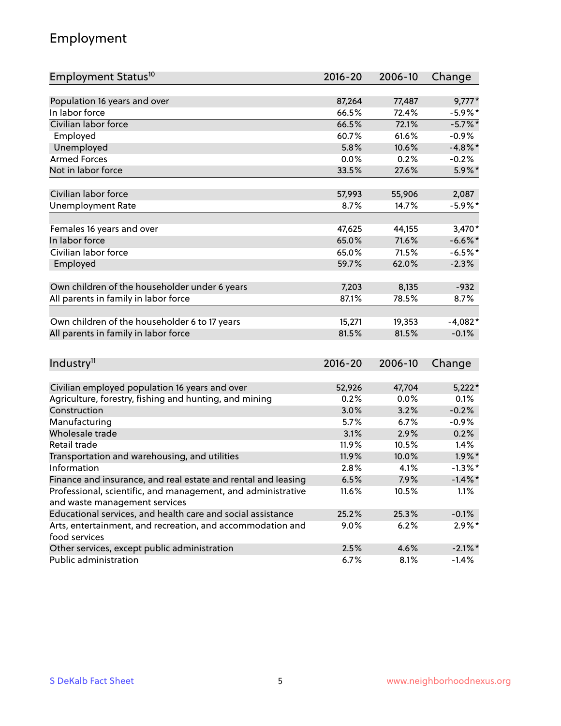### Employment

| Employment Status <sup>10</sup>                                                               | $2016 - 20$ | 2006-10 | Change     |
|-----------------------------------------------------------------------------------------------|-------------|---------|------------|
|                                                                                               |             |         |            |
| Population 16 years and over                                                                  | 87,264      | 77,487  | $9,777*$   |
| In labor force                                                                                | 66.5%       | 72.4%   | $-5.9\%$ * |
| Civilian labor force                                                                          | 66.5%       | 72.1%   | $-5.7\%$ * |
| Employed                                                                                      | 60.7%       | 61.6%   | $-0.9%$    |
| Unemployed                                                                                    | 5.8%        | 10.6%   | $-4.8\%$ * |
| <b>Armed Forces</b>                                                                           | 0.0%        | 0.2%    | $-0.2%$    |
| Not in labor force                                                                            | 33.5%       | 27.6%   | 5.9%*      |
| Civilian labor force                                                                          | 57,993      | 55,906  | 2,087      |
| <b>Unemployment Rate</b>                                                                      | 8.7%        | 14.7%   | $-5.9\%$ * |
|                                                                                               |             |         |            |
| Females 16 years and over                                                                     | 47,625      | 44,155  | 3,470*     |
| In labor force                                                                                | 65.0%       | 71.6%   | $-6.6\%$ * |
| Civilian labor force                                                                          | 65.0%       | 71.5%   | $-6.5%$ *  |
| Employed                                                                                      | 59.7%       | 62.0%   | $-2.3%$    |
| Own children of the householder under 6 years                                                 | 7,203       | 8,135   | $-932$     |
| All parents in family in labor force                                                          | 87.1%       | 78.5%   | 8.7%       |
|                                                                                               |             |         |            |
| Own children of the householder 6 to 17 years                                                 | 15,271      | 19,353  | $-4,082*$  |
| All parents in family in labor force                                                          | 81.5%       | 81.5%   | $-0.1%$    |
|                                                                                               |             |         |            |
| Industry <sup>11</sup>                                                                        | $2016 - 20$ | 2006-10 | Change     |
|                                                                                               |             |         |            |
| Civilian employed population 16 years and over                                                | 52,926      | 47,704  | $5,222*$   |
| Agriculture, forestry, fishing and hunting, and mining                                        | 0.2%        | 0.0%    | 0.1%       |
| Construction                                                                                  | 3.0%        | 3.2%    | $-0.2%$    |
| Manufacturing                                                                                 | 5.7%        | 6.7%    | $-0.9%$    |
| Wholesale trade                                                                               | 3.1%        | 2.9%    | 0.2%       |
| Retail trade                                                                                  | 11.9%       | 10.5%   | 1.4%       |
| Transportation and warehousing, and utilities                                                 | 11.9%       | 10.0%   | $1.9\%$ *  |
| Information                                                                                   | 2.8%        | 4.1%    | $-1.3\%$ * |
| Finance and insurance, and real estate and rental and leasing                                 | 6.5%        | 7.9%    | $-1.4\%$ * |
| Professional, scientific, and management, and administrative<br>and waste management services | 11.6%       | 10.5%   | 1.1%       |
| Educational services, and health care and social assistance                                   | 25.2%       | 25.3%   | $-0.1%$    |
| Arts, entertainment, and recreation, and accommodation and                                    | $9.0\%$     | 6.2%    | $2.9\%*$   |
| food services                                                                                 |             |         |            |
| Other services, except public administration                                                  | 2.5%        | 4.6%    | $-2.1\%$ * |
| Public administration                                                                         | 6.7%        | 8.1%    | $-1.4%$    |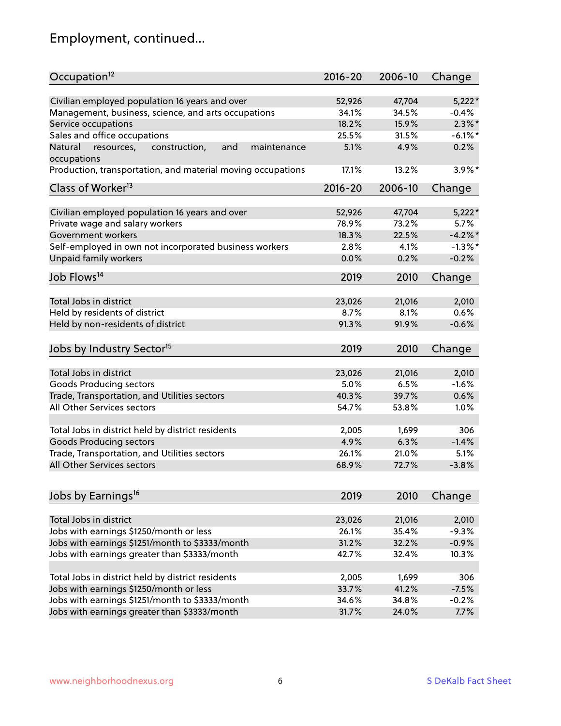# Employment, continued...

| Occupation <sup>12</sup>                                                    | $2016 - 20$ | 2006-10 | Change     |
|-----------------------------------------------------------------------------|-------------|---------|------------|
| Civilian employed population 16 years and over                              | 52,926      | 47,704  | $5,222*$   |
| Management, business, science, and arts occupations                         | 34.1%       | 34.5%   | $-0.4%$    |
| Service occupations                                                         | 18.2%       | 15.9%   | $2.3\%$ *  |
| Sales and office occupations                                                | 25.5%       | 31.5%   | $-6.1\%$ * |
|                                                                             | 5.1%        |         | 0.2%       |
| Natural<br>and<br>resources,<br>construction,<br>maintenance<br>occupations |             | 4.9%    |            |
| Production, transportation, and material moving occupations                 | 17.1%       | 13.2%   | $3.9\%$ *  |
| Class of Worker <sup>13</sup>                                               | $2016 - 20$ | 2006-10 | Change     |
| Civilian employed population 16 years and over                              | 52,926      | 47,704  | $5,222*$   |
| Private wage and salary workers                                             | 78.9%       | 73.2%   | 5.7%       |
| Government workers                                                          | 18.3%       | 22.5%   | $-4.2%$    |
|                                                                             |             |         |            |
| Self-employed in own not incorporated business workers                      | 2.8%        | 4.1%    | $-1.3%$ *  |
| Unpaid family workers                                                       | 0.0%        | 0.2%    | $-0.2%$    |
| Job Flows <sup>14</sup>                                                     | 2019        | 2010    | Change     |
|                                                                             |             |         |            |
| Total Jobs in district                                                      | 23,026      | 21,016  | 2,010      |
| Held by residents of district                                               | 8.7%        | 8.1%    | 0.6%       |
| Held by non-residents of district                                           | 91.3%       | 91.9%   | $-0.6%$    |
| Jobs by Industry Sector <sup>15</sup>                                       | 2019        | 2010    | Change     |
|                                                                             |             |         |            |
| Total Jobs in district                                                      | 23,026      | 21,016  | 2,010      |
| Goods Producing sectors                                                     | 5.0%        | 6.5%    | $-1.6%$    |
| Trade, Transportation, and Utilities sectors                                | 40.3%       | 39.7%   | 0.6%       |
| All Other Services sectors                                                  | 54.7%       | 53.8%   | 1.0%       |
| Total Jobs in district held by district residents                           | 2,005       | 1,699   | 306        |
| <b>Goods Producing sectors</b>                                              | 4.9%        | 6.3%    | $-1.4%$    |
| Trade, Transportation, and Utilities sectors                                | 26.1%       | 21.0%   | 5.1%       |
| All Other Services sectors                                                  | 68.9%       | 72.7%   | $-3.8%$    |
|                                                                             |             |         |            |
| Jobs by Earnings <sup>16</sup>                                              | 2019        | 2010    | Change     |
| Total Jobs in district                                                      |             |         |            |
|                                                                             | 23,026      | 21,016  | 2,010      |
| Jobs with earnings \$1250/month or less                                     | 26.1%       | 35.4%   | $-9.3%$    |
| Jobs with earnings \$1251/month to \$3333/month                             | 31.2%       | 32.2%   | $-0.9%$    |
| Jobs with earnings greater than \$3333/month                                | 42.7%       | 32.4%   | 10.3%      |
| Total Jobs in district held by district residents                           | 2,005       | 1,699   | 306        |
| Jobs with earnings \$1250/month or less                                     | 33.7%       | 41.2%   | $-7.5%$    |
| Jobs with earnings \$1251/month to \$3333/month                             | 34.6%       | 34.8%   | $-0.2%$    |
| Jobs with earnings greater than \$3333/month                                | 31.7%       | 24.0%   | 7.7%       |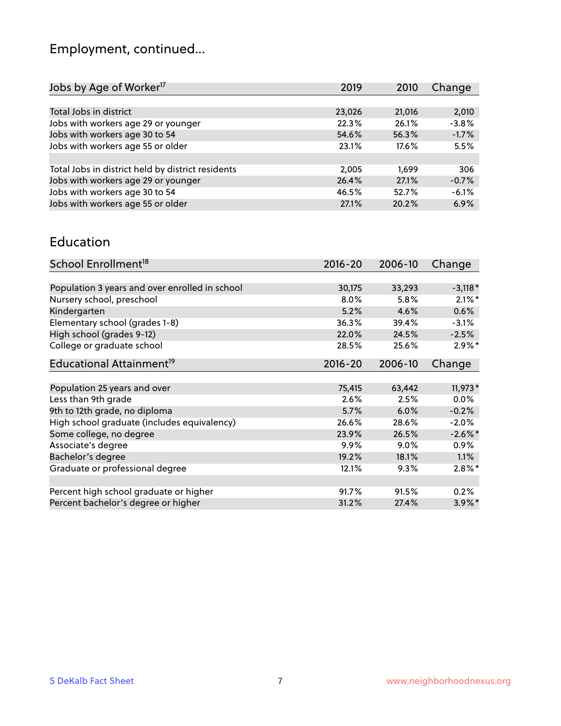# Employment, continued...

| 2,010   |
|---------|
| $-3.8%$ |
| $-1.7%$ |
| 5.5%    |
|         |
| 306     |
| $-0.7%$ |
| $-6.1%$ |
| 6.9%    |
|         |

#### Education

| School Enrollment <sup>18</sup>                | $2016 - 20$ | 2006-10 | Change     |
|------------------------------------------------|-------------|---------|------------|
|                                                |             |         |            |
| Population 3 years and over enrolled in school | 30,175      | 33,293  | $-3,118*$  |
| Nursery school, preschool                      | $8.0\%$     | 5.8%    | $2.1\%$ *  |
| Kindergarten                                   | 5.2%        | 4.6%    | 0.6%       |
| Elementary school (grades 1-8)                 | 36.3%       | 39.4%   | $-3.1%$    |
| High school (grades 9-12)                      | 22.0%       | 24.5%   | $-2.5%$    |
| College or graduate school                     | 28.5%       | 25.6%   | $2.9\%$ *  |
| Educational Attainment <sup>19</sup>           | $2016 - 20$ | 2006-10 | Change     |
|                                                |             |         |            |
| Population 25 years and over                   | 75,415      | 63,442  | $11,973*$  |
| Less than 9th grade                            | 2.6%        | 2.5%    | $0.0\%$    |
| 9th to 12th grade, no diploma                  | 5.7%        | 6.0%    | $-0.2%$    |
| High school graduate (includes equivalency)    | 26.6%       | 28.6%   | $-2.0\%$   |
| Some college, no degree                        | 23.9%       | 26.5%   | $-2.6\%$ * |
| Associate's degree                             | $9.9\%$     | $9.0\%$ | $0.9\%$    |
| Bachelor's degree                              | 19.2%       | 18.1%   | $1.1\%$    |
| Graduate or professional degree                | 12.1%       | 9.3%    | $2.8\%$ *  |
|                                                |             |         |            |
| Percent high school graduate or higher         | 91.7%       | 91.5%   | 0.2%       |
| Percent bachelor's degree or higher            | 31.2%       | 27.4%   | $3.9\%$ *  |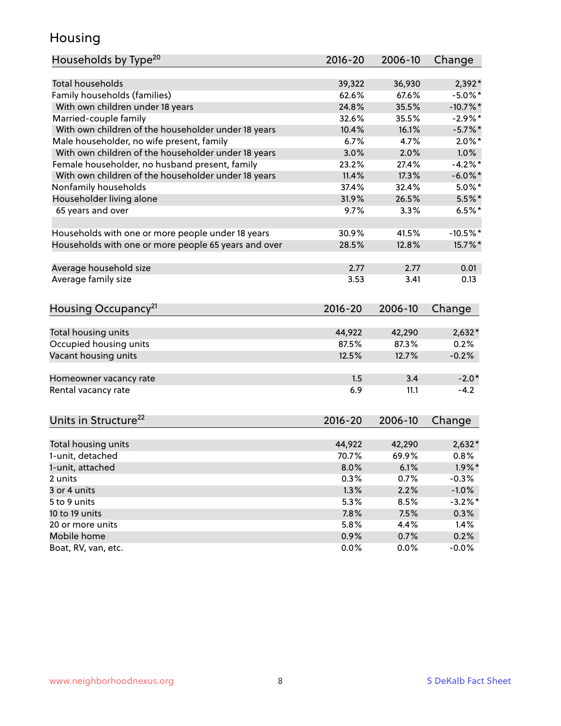### Housing

| Households by Type <sup>20</sup>                     | 2016-20     | 2006-10 | Change     |
|------------------------------------------------------|-------------|---------|------------|
|                                                      |             |         |            |
| <b>Total households</b>                              | 39,322      | 36,930  | $2,392*$   |
| Family households (families)                         | 62.6%       | 67.6%   | $-5.0\%$ * |
| With own children under 18 years                     | 24.8%       | 35.5%   | $-10.7%$ * |
| Married-couple family                                | 32.6%       | 35.5%   | $-2.9%$ *  |
| With own children of the householder under 18 years  | 10.4%       | 16.1%   | $-5.7%$ *  |
| Male householder, no wife present, family            | 6.7%        | 4.7%    | $2.0\%$ *  |
| With own children of the householder under 18 years  | 3.0%        | 2.0%    | 1.0%       |
| Female householder, no husband present, family       | 23.2%       | 27.4%   | $-4.2%$    |
| With own children of the householder under 18 years  | 11.4%       | 17.3%   | $-6.0\%$ * |
| Nonfamily households                                 | 37.4%       | 32.4%   | $5.0\%$ *  |
| Householder living alone                             | 31.9%       | 26.5%   | $5.5\%$ *  |
| 65 years and over                                    | 9.7%        | 3.3%    | $6.5%$ *   |
|                                                      |             |         |            |
| Households with one or more people under 18 years    | 30.9%       | 41.5%   | $-10.5%$ * |
| Households with one or more people 65 years and over | 28.5%       | 12.8%   | 15.7%*     |
|                                                      |             |         |            |
| Average household size                               | 2.77        | 2.77    | 0.01       |
| Average family size                                  | 3.53        | 3.41    | 0.13       |
|                                                      |             |         |            |
| Housing Occupancy <sup>21</sup>                      | $2016 - 20$ | 2006-10 | Change     |
|                                                      |             |         |            |
| Total housing units                                  | 44,922      | 42,290  | $2,632*$   |
| Occupied housing units                               | 87.5%       | 87.3%   | 0.2%       |
| Vacant housing units                                 | 12.5%       | 12.7%   | $-0.2%$    |
|                                                      |             |         |            |
| Homeowner vacancy rate                               | 1.5         | 3.4     | $-2.0*$    |
| Rental vacancy rate                                  | 6.9         | 11.1    | $-4.2$     |
|                                                      |             |         |            |
|                                                      |             |         |            |
| Units in Structure <sup>22</sup>                     | 2016-20     | 2006-10 | Change     |
|                                                      |             |         |            |
| Total housing units                                  | 44,922      | 42,290  | $2,632*$   |
| 1-unit, detached                                     | 70.7%       | 69.9%   | 0.8%       |
| 1-unit, attached                                     | 8.0%        | 6.1%    | $1.9\%$ *  |
| 2 units                                              | 0.3%        | 0.7%    | $-0.3%$    |
| 3 or 4 units                                         | 1.3%        | 2.2%    | $-1.0%$    |
| 5 to 9 units                                         | 5.3%        | 8.5%    | $-3.2%$ *  |
| 10 to 19 units                                       | 7.8%        | 7.5%    | 0.3%       |
| 20 or more units                                     | 5.8%        | 4.4%    | 1.4%       |
| Mobile home                                          | 0.9%        | 0.7%    | 0.2%       |
| Boat, RV, van, etc.                                  | 0.0%        | $0.0\%$ | $-0.0%$    |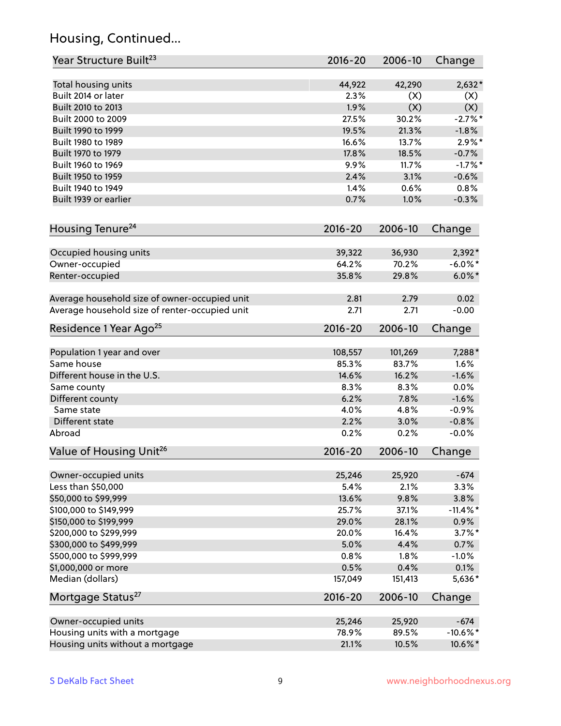### Housing, Continued...

| Year Structure Built <sup>23</sup>             | 2016-20     | 2006-10 | Change      |
|------------------------------------------------|-------------|---------|-------------|
| Total housing units                            | 44,922      | 42,290  | $2,632*$    |
| Built 2014 or later                            | 2.3%        | (X)     | (X)         |
| Built 2010 to 2013                             | 1.9%        | (X)     | (X)         |
| Built 2000 to 2009                             | 27.5%       | 30.2%   | $-2.7%$ *   |
| Built 1990 to 1999                             | 19.5%       | 21.3%   | $-1.8%$     |
| Built 1980 to 1989                             | 16.6%       | 13.7%   | $2.9\%$ *   |
| Built 1970 to 1979                             | 17.8%       | 18.5%   | $-0.7%$     |
| Built 1960 to 1969                             | 9.9%        | 11.7%   | $-1.7%$ *   |
| Built 1950 to 1959                             | 2.4%        | 3.1%    | $-0.6%$     |
| Built 1940 to 1949                             | 1.4%        | 0.6%    | 0.8%        |
| Built 1939 or earlier                          | 0.7%        | 1.0%    | $-0.3%$     |
| Housing Tenure <sup>24</sup>                   | $2016 - 20$ | 2006-10 | Change      |
|                                                |             |         |             |
| Occupied housing units                         | 39,322      | 36,930  | 2,392*      |
| Owner-occupied                                 | 64.2%       | 70.2%   | $-6.0\%$ *  |
| Renter-occupied                                | 35.8%       | 29.8%   | $6.0\%$ *   |
| Average household size of owner-occupied unit  | 2.81        | 2.79    | 0.02        |
| Average household size of renter-occupied unit | 2.71        | 2.71    | $-0.00$     |
| Residence 1 Year Ago <sup>25</sup>             | $2016 - 20$ | 2006-10 | Change      |
|                                                |             |         |             |
| Population 1 year and over                     | 108,557     | 101,269 | 7,288*      |
| Same house                                     | 85.3%       | 83.7%   | 1.6%        |
| Different house in the U.S.                    | 14.6%       | 16.2%   | $-1.6%$     |
| Same county                                    | 8.3%        | 8.3%    | 0.0%        |
| Different county                               | 6.2%        | 7.8%    | $-1.6%$     |
| Same state                                     | 4.0%        | 4.8%    | $-0.9%$     |
| Different state                                | 2.2%        | 3.0%    | $-0.8%$     |
| Abroad                                         | 0.2%        | 0.2%    | $-0.0%$     |
| Value of Housing Unit <sup>26</sup>            | $2016 - 20$ | 2006-10 | Change      |
| Owner-occupied units                           | 25,246      | 25,920  | $-674$      |
| Less than \$50,000                             | 5.4%        | 2.1%    | 3.3%        |
| \$50,000 to \$99,999                           | 13.6%       | 9.8%    | 3.8%        |
| \$100,000 to \$149,999                         | 25.7%       | 37.1%   | $-11.4\%$ * |
| \$150,000 to \$199,999                         | 29.0%       | 28.1%   | $0.9\%$     |
| \$200,000 to \$299,999                         | 20.0%       | 16.4%   | $3.7\%$ *   |
| \$300,000 to \$499,999                         | 5.0%        | 4.4%    | 0.7%        |
| \$500,000 to \$999,999                         | 0.8%        | 1.8%    | $-1.0%$     |
| \$1,000,000 or more                            | 0.5%        | 0.4%    | 0.1%        |
| Median (dollars)                               | 157,049     | 151,413 | 5,636*      |
| Mortgage Status <sup>27</sup>                  | $2016 - 20$ | 2006-10 | Change      |
|                                                |             |         |             |
| Owner-occupied units                           | 25,246      | 25,920  | $-674$      |
| Housing units with a mortgage                  | 78.9%       | 89.5%   | $-10.6\%$ * |
| Housing units without a mortgage               | 21.1%       | 10.5%   | 10.6%*      |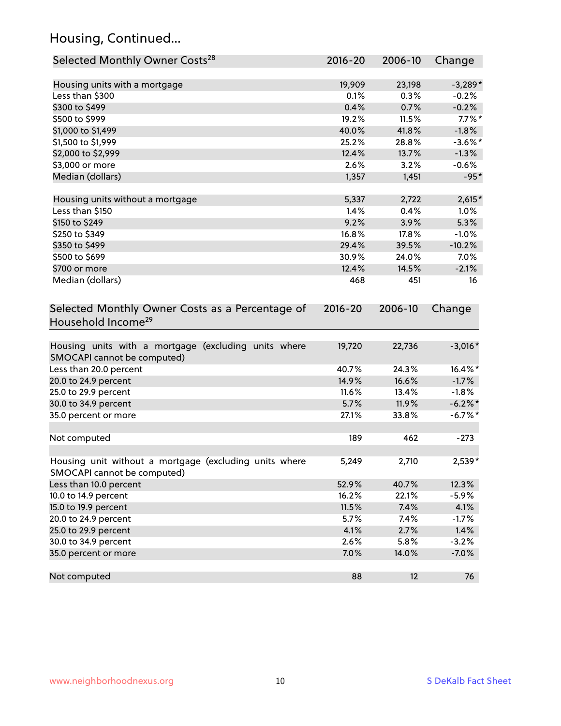### Housing, Continued...

| Selected Monthly Owner Costs <sup>28</sup>                                            | 2016-20     | 2006-10 | Change     |
|---------------------------------------------------------------------------------------|-------------|---------|------------|
| Housing units with a mortgage                                                         | 19,909      | 23,198  | $-3,289*$  |
| Less than \$300                                                                       | 0.1%        | 0.3%    | $-0.2%$    |
| \$300 to \$499                                                                        | 0.4%        | 0.7%    | $-0.2%$    |
| \$500 to \$999                                                                        | 19.2%       | 11.5%   | $7.7\%$ *  |
| \$1,000 to \$1,499                                                                    | 40.0%       | 41.8%   | $-1.8%$    |
| \$1,500 to \$1,999                                                                    | 25.2%       | 28.8%   | $-3.6\%$ * |
| \$2,000 to \$2,999                                                                    | 12.4%       | 13.7%   | $-1.3%$    |
| \$3,000 or more                                                                       | 2.6%        | 3.2%    | $-0.6%$    |
| Median (dollars)                                                                      | 1,357       | 1,451   | $-95*$     |
| Housing units without a mortgage                                                      | 5,337       | 2,722   | $2,615*$   |
| Less than \$150                                                                       | 1.4%        | 0.4%    | 1.0%       |
| \$150 to \$249                                                                        | 9.2%        | 3.9%    | 5.3%       |
| \$250 to \$349                                                                        | 16.8%       | 17.8%   | $-1.0%$    |
| \$350 to \$499                                                                        | 29.4%       | 39.5%   | $-10.2%$   |
| \$500 to \$699                                                                        | 30.9%       | 24.0%   | 7.0%       |
| \$700 or more                                                                         | 12.4%       | 14.5%   | $-2.1%$    |
| Median (dollars)                                                                      | 468         | 451     | 16         |
| Selected Monthly Owner Costs as a Percentage of<br>Household Income <sup>29</sup>     | $2016 - 20$ | 2006-10 | Change     |
| Housing units with a mortgage (excluding units where<br>SMOCAPI cannot be computed)   | 19,720      | 22,736  | $-3,016*$  |
| Less than 20.0 percent                                                                | 40.7%       | 24.3%   | 16.4%*     |
| 20.0 to 24.9 percent                                                                  | 14.9%       | 16.6%   | $-1.7%$    |
| 25.0 to 29.9 percent                                                                  | 11.6%       | 13.4%   | $-1.8%$    |
| 30.0 to 34.9 percent                                                                  | 5.7%        | 11.9%   | $-6.2\%$ * |
| 35.0 percent or more                                                                  | 27.1%       | 33.8%   | $-6.7\%$ * |
| Not computed                                                                          | 189         | 462     | $-273$     |
| Housing unit without a mortgage (excluding units where<br>SMOCAPI cannot be computed) | 5,249       | 2,710   | 2,539*     |
| Less than 10.0 percent                                                                | 52.9%       | 40.7%   | 12.3%      |
| 10.0 to 14.9 percent                                                                  | 16.2%       | 22.1%   | $-5.9%$    |
| 15.0 to 19.9 percent                                                                  | 11.5%       | 7.4%    | 4.1%       |
| 20.0 to 24.9 percent                                                                  | 5.7%        | 7.4%    | $-1.7%$    |
| 25.0 to 29.9 percent                                                                  | 4.1%        | 2.7%    | 1.4%       |
| 30.0 to 34.9 percent                                                                  | 2.6%        | 5.8%    | $-3.2%$    |
| 35.0 percent or more                                                                  | 7.0%        | 14.0%   | $-7.0%$    |
| Not computed                                                                          | 88          | 12      | 76         |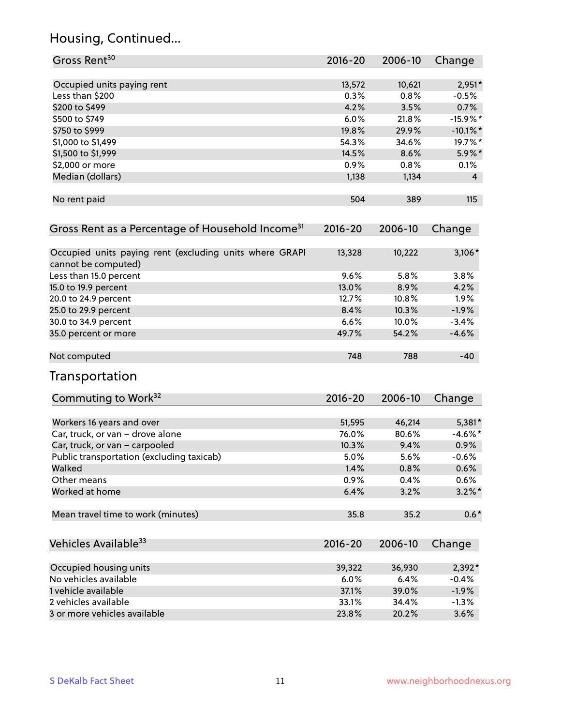### Housing, Continued...

| Gross Rent <sup>30</sup>                                                       | 2016-20     | 2006-10 | Change      |
|--------------------------------------------------------------------------------|-------------|---------|-------------|
| Occupied units paying rent                                                     | 13,572      | 10,621  | $2,951*$    |
| Less than \$200                                                                | 0.3%        | 0.8%    | $-0.5%$     |
| \$200 to \$499                                                                 | 4.2%        | 3.5%    | 0.7%        |
| \$500 to \$749                                                                 | 6.0%        | 21.8%   | $-15.9%$ *  |
| \$750 to \$999                                                                 | 19.8%       | 29.9%   | $-10.1\%$ * |
| \$1,000 to \$1,499                                                             | 54.3%       | 34.6%   | 19.7%*      |
| \$1,500 to \$1,999                                                             | 14.5%       | 8.6%    | 5.9%*       |
| \$2,000 or more                                                                | 0.9%        | 0.8%    | 0.1%        |
| Median (dollars)                                                               | 1,138       | 1,134   | 4           |
| No rent paid                                                                   | 504         | 389     | 115         |
| Gross Rent as a Percentage of Household Income <sup>31</sup>                   | $2016 - 20$ | 2006-10 | Change      |
| Occupied units paying rent (excluding units where GRAPI<br>cannot be computed) | 13,328      | 10,222  | $3,106*$    |
| Less than 15.0 percent                                                         | 9.6%        | 5.8%    | 3.8%        |
| 15.0 to 19.9 percent                                                           | 13.0%       | 8.9%    | 4.2%        |
| 20.0 to 24.9 percent                                                           | 12.7%       | 10.8%   | 1.9%        |
| 25.0 to 29.9 percent                                                           | 8.4%        | 10.3%   | $-1.9%$     |
| 30.0 to 34.9 percent                                                           | 6.6%        | 10.0%   | $-3.4%$     |
| 35.0 percent or more                                                           | 49.7%       | 54.2%   | $-4.6%$     |
| Not computed                                                                   | 748         | 788     | $-40$       |
| Transportation                                                                 |             |         |             |
| Commuting to Work <sup>32</sup>                                                | 2016-20     | 2006-10 | Change      |
| Workers 16 years and over                                                      | 51,595      | 46,214  | 5,381*      |
| Car, truck, or van - drove alone                                               | 76.0%       | 80.6%   | $-4.6\%$ *  |
| Car, truck, or van - carpooled                                                 | 10.3%       | 9.4%    | 0.9%        |
| Public transportation (excluding taxicab)                                      | 5.0%        | 5.6%    | $-0.6%$     |
| Walked                                                                         | 1.4%        | 0.8%    | 0.6%        |
| Other means                                                                    | 0.9%        | 0.4%    | 0.6%        |
| Worked at home                                                                 | 6.4%        | 3.2%    | $3.2\%$ *   |
| Mean travel time to work (minutes)                                             | 35.8        | 35.2    | $0.6*$      |
| Vehicles Available <sup>33</sup>                                               | 2016-20     | 2006-10 | Change      |
| Occupied housing units                                                         | 39,322      | 36,930  | 2,392*      |
| No vehicles available                                                          | 6.0%        | 6.4%    | $-0.4%$     |
| 1 vehicle available                                                            | 37.1%       | 39.0%   | $-1.9%$     |
| 2 vehicles available                                                           | 33.1%       | 34.4%   | $-1.3%$     |
| 3 or more vehicles available                                                   | 23.8%       | 20.2%   | 3.6%        |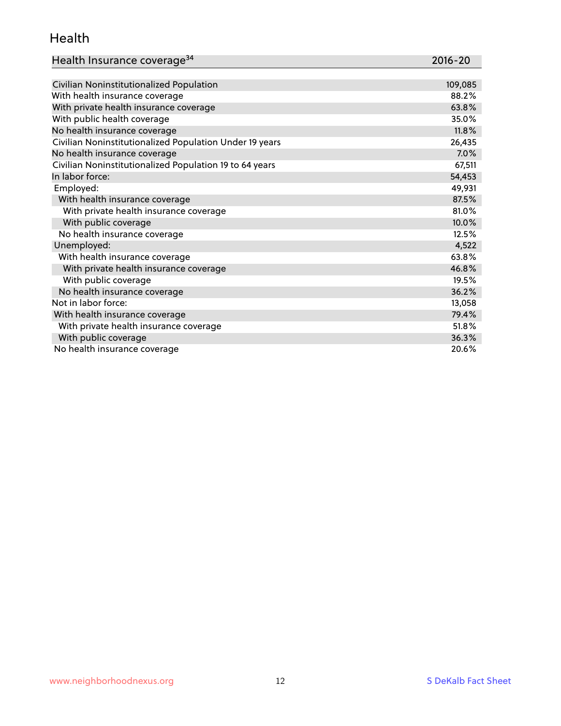### Health

| Health Insurance coverage <sup>34</sup> | 2016-20 |
|-----------------------------------------|---------|
|-----------------------------------------|---------|

| Civilian Noninstitutionalized Population                | 109,085 |
|---------------------------------------------------------|---------|
| With health insurance coverage                          | 88.2%   |
| With private health insurance coverage                  | 63.8%   |
| With public health coverage                             | 35.0%   |
| No health insurance coverage                            | 11.8%   |
| Civilian Noninstitutionalized Population Under 19 years | 26,435  |
| No health insurance coverage                            | 7.0%    |
| Civilian Noninstitutionalized Population 19 to 64 years | 67,511  |
| In labor force:                                         | 54,453  |
| Employed:                                               | 49,931  |
| With health insurance coverage                          | 87.5%   |
| With private health insurance coverage                  | 81.0%   |
| With public coverage                                    | 10.0%   |
| No health insurance coverage                            | 12.5%   |
| Unemployed:                                             | 4,522   |
| With health insurance coverage                          | 63.8%   |
| With private health insurance coverage                  | 46.8%   |
| With public coverage                                    | 19.5%   |
| No health insurance coverage                            | 36.2%   |
| Not in labor force:                                     | 13,058  |
| With health insurance coverage                          | 79.4%   |
| With private health insurance coverage                  | 51.8%   |
| With public coverage                                    | 36.3%   |
| No health insurance coverage                            | 20.6%   |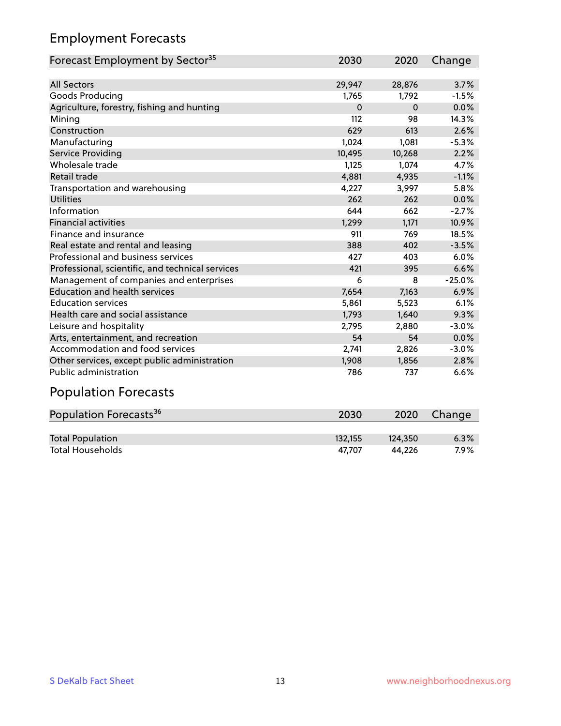### Employment Forecasts

| Forecast Employment by Sector <sup>35</sup>      | 2030     | 2020     | Change   |
|--------------------------------------------------|----------|----------|----------|
|                                                  |          |          |          |
| <b>All Sectors</b>                               | 29,947   | 28,876   | 3.7%     |
| Goods Producing                                  | 1,765    | 1,792    | $-1.5%$  |
| Agriculture, forestry, fishing and hunting       | $\Omega$ | $\Omega$ | 0.0%     |
| Mining                                           | 112      | 98       | 14.3%    |
| Construction                                     | 629      | 613      | 2.6%     |
| Manufacturing                                    | 1,024    | 1,081    | $-5.3%$  |
| Service Providing                                | 10,495   | 10,268   | 2.2%     |
| Wholesale trade                                  | 1,125    | 1,074    | 4.7%     |
| Retail trade                                     | 4,881    | 4,935    | $-1.1%$  |
| Transportation and warehousing                   | 4,227    | 3,997    | 5.8%     |
| <b>Utilities</b>                                 | 262      | 262      | 0.0%     |
| Information                                      | 644      | 662      | $-2.7%$  |
| <b>Financial activities</b>                      | 1,299    | 1,171    | 10.9%    |
| Finance and insurance                            | 911      | 769      | 18.5%    |
| Real estate and rental and leasing               | 388      | 402      | $-3.5%$  |
| Professional and business services               | 427      | 403      | 6.0%     |
| Professional, scientific, and technical services | 421      | 395      | 6.6%     |
| Management of companies and enterprises          | 6        | 8        | $-25.0%$ |
| <b>Education and health services</b>             | 7,654    | 7,163    | 6.9%     |
| <b>Education services</b>                        | 5,861    | 5,523    | 6.1%     |
| Health care and social assistance                | 1,793    | 1,640    | 9.3%     |
| Leisure and hospitality                          | 2,795    | 2,880    | $-3.0%$  |
| Arts, entertainment, and recreation              | 54       | 54       | 0.0%     |
| Accommodation and food services                  | 2,741    | 2,826    | $-3.0%$  |
| Other services, except public administration     | 1,908    | 1,856    | 2.8%     |
| Public administration                            | 786      | 737      | 6.6%     |
| <b>Population Forecasts</b>                      |          |          |          |

| Population Forecasts <sup>36</sup> | 2030    | 2020    | Change |
|------------------------------------|---------|---------|--------|
|                                    |         |         |        |
| <b>Total Population</b>            | 132.155 | 124.350 | 6.3%   |
| <b>Total Households</b>            | 47.707  | 44.226  | 7.9%   |